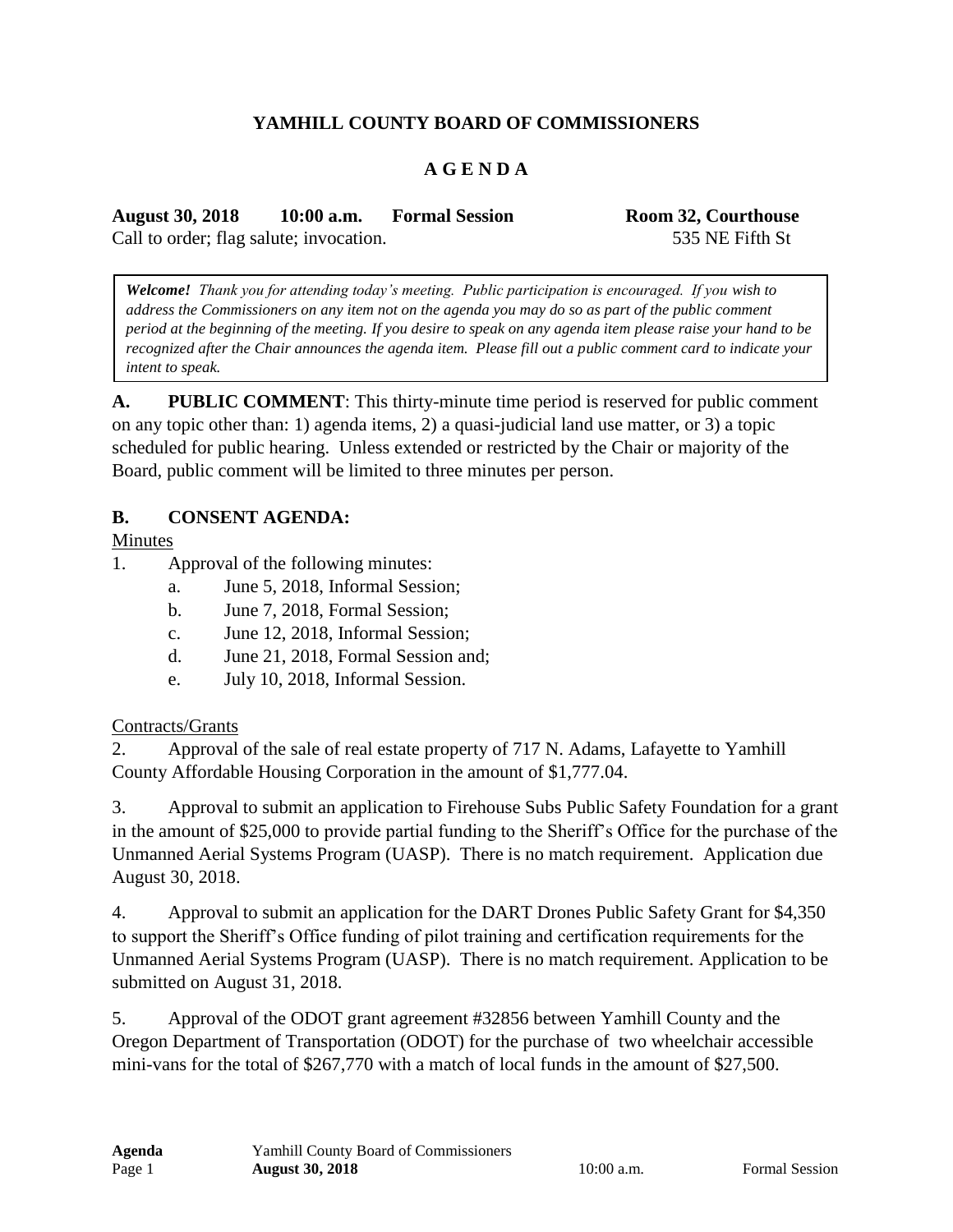# **YAMHILL COUNTY BOARD OF COMMISSIONERS**

### **A G E N D A**

**August 30, 2018 10:00 a.m. Formal Session Room 32, Courthouse** Call to order; flag salute; invocation. 535 NE Fifth St

*Welcome! Thank you for attending today's meeting. Public participation is encouraged. If you wish to address the Commissioners on any item not on the agenda you may do so as part of the public comment period at the beginning of the meeting. If you desire to speak on any agenda item please raise your hand to be recognized after the Chair announces the agenda item. Please fill out a public comment card to indicate your intent to speak.*

**A. PUBLIC COMMENT**: This thirty-minute time period is reserved for public comment on any topic other than: 1) agenda items, 2) a quasi-judicial land use matter, or 3) a topic scheduled for public hearing. Unless extended or restricted by the Chair or majority of the Board, public comment will be limited to three minutes per person.

#### **B. CONSENT AGENDA:**

Minutes

- 1. Approval of the following minutes:
	- a. June 5, 2018, Informal Session;
	- b. June 7, 2018, Formal Session;
	- c. June 12, 2018, Informal Session;
	- d. June 21, 2018, Formal Session and;
	- e. July 10, 2018, Informal Session.

#### Contracts/Grants

2. Approval of the sale of real estate property of 717 N. Adams, Lafayette to Yamhill County Affordable Housing Corporation in the amount of \$1,777.04.

3. Approval to submit an application to Firehouse Subs Public Safety Foundation for a grant in the amount of \$25,000 to provide partial funding to the Sheriff's Office for the purchase of the Unmanned Aerial Systems Program (UASP). There is no match requirement. Application due August 30, 2018.

4. Approval to submit an application for the DART Drones Public Safety Grant for \$4,350 to support the Sheriff's Office funding of pilot training and certification requirements for the Unmanned Aerial Systems Program (UASP). There is no match requirement. Application to be submitted on August 31, 2018.

5. Approval of the ODOT grant agreement #32856 between Yamhill County and the Oregon Department of Transportation (ODOT) for the purchase of two wheelchair accessible mini-vans for the total of \$267,770 with a match of local funds in the amount of \$27,500.